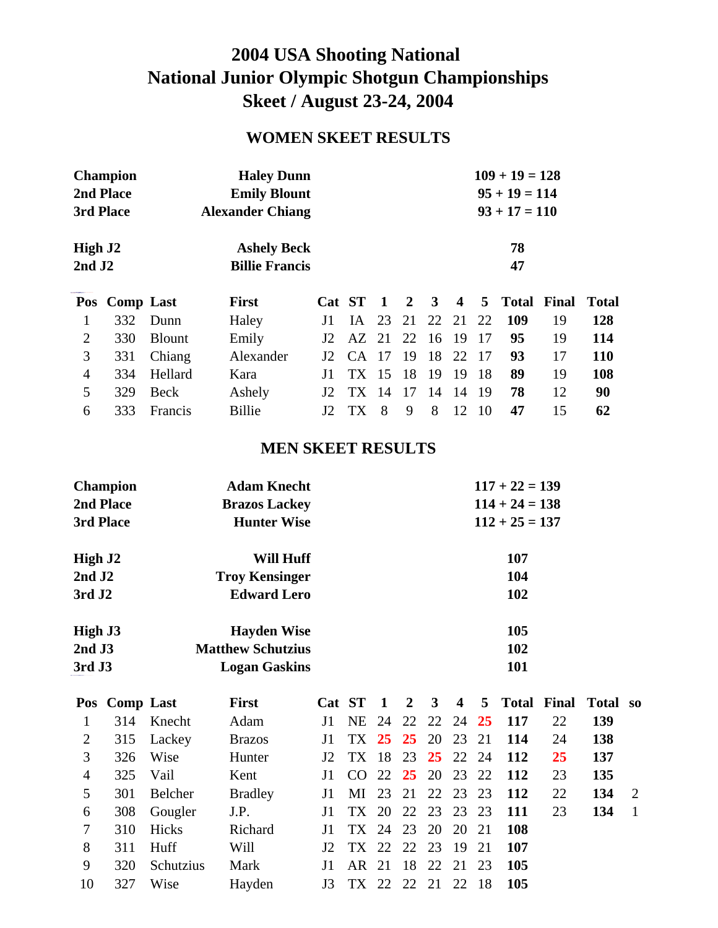## **2004 USA Shooting National National Junior Olympic Shotgun Championships Skeet / August 23-24, 2004**

## **WOMEN SKEET RESULTS**

| <b>Champion</b>     |                  |               | <b>Haley Dunn</b>       |                |        |                 |                 | $109 + 19 = 128$ |                         |     |       |       |              |  |  |  |
|---------------------|------------------|---------------|-------------------------|----------------|--------|-----------------|-----------------|------------------|-------------------------|-----|-------|-------|--------------|--|--|--|
|                     | 2nd Place        |               | <b>Emily Blount</b>     |                |        | $95 + 19 = 114$ |                 |                  |                         |     |       |       |              |  |  |  |
| 3rd Place           |                  |               | <b>Alexander Chiang</b> |                |        |                 | $93 + 17 = 110$ |                  |                         |     |       |       |              |  |  |  |
| High J <sub>2</sub> |                  |               | <b>Ashely Beck</b>      |                |        |                 | 78              |                  |                         |     |       |       |              |  |  |  |
| $2nd$ J $2$         |                  |               | <b>Billie Francis</b>   |                |        |                 |                 |                  |                         |     | 47    |       |              |  |  |  |
| Pos                 | <b>Comp Last</b> |               | <b>First</b>            |                | Cat ST | $\blacksquare$  | <sup>2</sup>    | 3                | $\overline{\mathbf{4}}$ | 5   | Total | Final | <b>Total</b> |  |  |  |
| 1                   | 332              | Dunn          | Haley                   | J1             | IA –   | 23              | 21              | 22               | 21                      | 22  | 109   | 19    | 128          |  |  |  |
|                     |                  |               |                         |                |        |                 |                 |                  |                         |     |       |       |              |  |  |  |
| $\overline{2}$      | 330              | <b>Blount</b> | Emily                   | J <sub>2</sub> | AZ     | 21              | 22              | 16               | -19                     | 17  | 95    | 19    | 114          |  |  |  |
| 3                   | 331              | Chiang        | Alexander               | J <sub>2</sub> | CA.    | -17             | 19              | 18               | 22                      | -17 | 93    | 17    | <b>110</b>   |  |  |  |
| $\overline{4}$      | 334              | Hellard       | Kara                    | J1             | TX 15  |                 | 18              | 19               | -19                     | -18 | 89    | 19    | 108          |  |  |  |
| 5                   | 329              | Beck          | Ashely                  | J <sub>2</sub> | TX.    | -14             | 17              | 14               | 14                      | -19 | 78    | 12    | 90           |  |  |  |

### **MEN SKEET RESULTS**

| <b>Champion</b>     | <b>Adam Knecht</b>       | $117 + 22 = 139$ |
|---------------------|--------------------------|------------------|
| 2nd Place           | <b>Brazos Lackey</b>     | $114 + 24 = 138$ |
| 3rd Place           | <b>Hunter Wise</b>       | $112 + 25 = 137$ |
| High J <sub>2</sub> | Will Huff                | 107              |
| $2nd$ J $2$         | <b>Troy Kensinger</b>    | 104              |
| 3rd J2              | <b>Edward Lero</b>       | 102              |
| High J3             | <b>Hayden Wise</b>       | <b>105</b>       |
| $2nd$ J3            | <b>Matthew Schutzius</b> | 102              |
| 3rd J3              | <b>Logan Gaskins</b>     | 101              |

|                | Pos Comp Last |             | <b>First</b>   |                 | Cat ST 1             |    |       |     |                          | 2 3 4 5 Total Final Total so |     |                |
|----------------|---------------|-------------|----------------|-----------------|----------------------|----|-------|-----|--------------------------|------------------------------|-----|----------------|
|                |               | 314 Knecht  | Adam           | J1 -            |                      |    |       |     | NE 24 22 22 24 25 117    | 22                           | 139 |                |
| 2              |               | 315 Lackey  | <b>Brazos</b>  | $\mathbf{I}$    | TX 25 25 20 23 21    |    |       |     | 114                      | 24                           | 138 |                |
| 3              | 326           | Wise        | Hunter         |                 |                      |    |       |     | J2 TX 18 23 25 22 24 112 | <b>25</b>                    | 137 |                |
| $\overline{4}$ | 325 Vail      |             | Kent           |                 |                      |    |       |     | J1 CO 22 25 20 23 22 112 | 23                           | 135 |                |
| 5              | 301           | Belcher     | <b>Bradley</b> |                 | J1 MI 23 21 22 23 23 |    |       |     | 112                      | 22                           | 134 | 2              |
| 6              |               | 308 Gougler | J.P.           |                 | J1 TX 20 22 23 23 23 |    |       |     | - 111                    | 23                           | 134 | $\overline{1}$ |
| 7              | 310           | Hicks       | Richard        | $\overline{11}$ | TX 24 23 20 20 21    |    |       |     | -108                     |                              |     |                |
| 8              | 311           | Huff        | Will           |                 | J2 TX 22 22 23 19    |    |       | 21  | -107                     |                              |     |                |
| 9              | 320           | Schutzius   | Mark           | $\mathbf{I}$    | AR 21 18 22 21 23    |    |       |     | <b>105</b>               |                              |     |                |
| 10             | 327           | Wise        | Hayden         | J3              | TX 22                | 22 | 21 22 | -18 | 105                      |                              |     |                |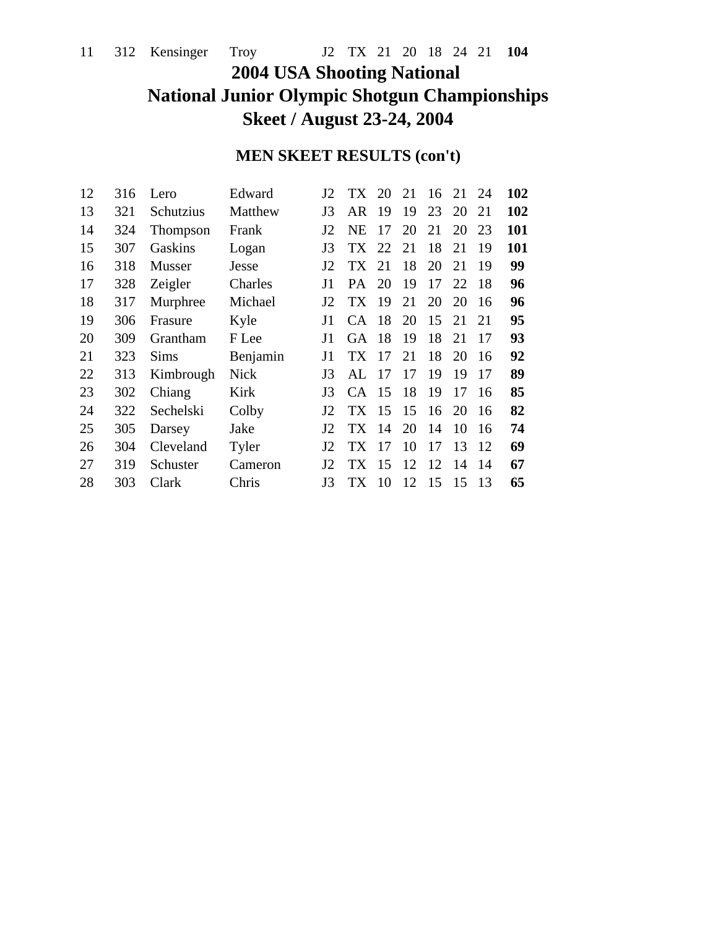## **2004 USA Shooting National National Junior Olympic Shotgun Championships Skeet / August 23-24, 2004**

## **MEN SKEET RESULTS (con't)**

| 316 | Lero      | Edward      | J2             | TX.       | 20  | 21                             | 16 | 21 | 24 | 102 |
|-----|-----------|-------------|----------------|-----------|-----|--------------------------------|----|----|----|-----|
| 321 | Schutzius | Matthew     | J3             | AR        | 19  | 19                             | 23 | 20 | 21 | 102 |
| 324 | Thompson  | Frank       | J2             | NE        | 17  | 20                             | 21 | 20 | 23 | 101 |
| 307 | Gaskins   | Logan       | J3             | TX.       |     | 21                             | 18 | 21 | 19 | 101 |
| 318 | Musser    | Jesse       | J2             | <b>TX</b> | 21  | 18                             | 20 | 21 | 19 | 99  |
| 328 | Zeigler   | Charles     | J1             | PA.       | 20  | 19                             | 17 | 22 | 18 | 96  |
| 317 | Murphree  | Michael     | J <sub>2</sub> | TX.       | 19  | 21                             | 20 | 20 | 16 | 96  |
| 306 | Frasure   | Kyle        | J1             | CA.       |     | 20                             | 15 | 21 | 21 | 95  |
| 309 | Grantham  | F Lee       | J1             | <b>GA</b> | -18 | 19                             | 18 | 21 | 17 | 93  |
| 323 | Sims      | Benjamin    | J1             | TX        |     | 21                             | 18 | 20 | 16 | 92  |
| 313 | Kimbrough | <b>Nick</b> | J3             | AL        | 17  | 17                             | 19 | 19 | 17 | 89  |
| 302 | Chiang    | Kirk        | J3             | CA.       | 15  | 18                             | 19 | 17 | 16 | 85  |
| 322 | Sechelski | Colby       | J2             | TX.       |     | 15                             | 16 | 20 | 16 | 82  |
| 305 | Darsey    | Jake        | J <sub>2</sub> | TX.       | 14  | 20                             | 14 | 10 | 16 | 74  |
| 304 | Cleveland | Tyler       | J <sub>2</sub> | <b>TX</b> | 17  | 10                             | 17 | 13 | 12 | 69  |
| 319 | Schuster  | Cameron     | J2             | TX.       |     | 12                             | 12 | 14 | 14 | 67  |
| 303 | Clark     | Chris       | J3             | TX.       | 10  | 12                             | 15 | 15 | 13 | 65  |
|     |           |             |                |           |     | 22<br>-18<br>-17<br>-15<br>-15 |    |    |    |     |